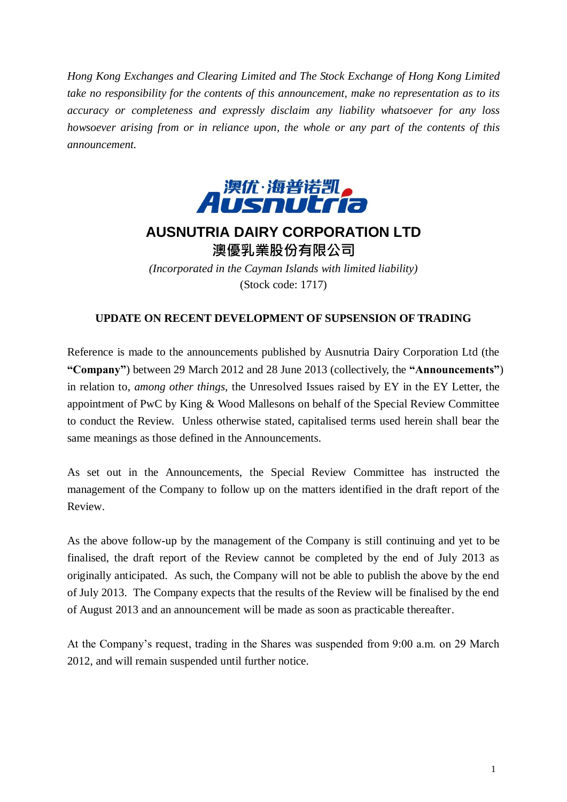*Hong Kong Exchanges and Clearing Limited and The Stock Exchange of Hong Kong Limited take no responsibility for the contents of this announcement, make no representation as to its accuracy or completeness and expressly disclaim any liability whatsoever for any loss howsoever arising from or in reliance upon, the whole or any part of the contents of this announcement.*



## **AUSNUTRIA DAIRY CORPORATION LTD** 澳優乳業股份有限公司

*(Incorporated in the Cayman Islands with limited liability)* (Stock code: 1717)

## **UPDATE ON RECENT DEVELOPMENT OF SUPSENSION OF TRADING**

Reference is made to the announcements published by Ausnutria Dairy Corporation Ltd (the **"Company"**) between 29 March 2012 and 28 June 2013 (collectively, the **"Announcements"**) in relation to, *among other things,* the Unresolved Issues raised by EY in the EY Letter, the appointment of PwC by King & Wood Mallesons on behalf of the Special Review Committee to conduct the Review. Unless otherwise stated, capitalised terms used herein shall bear the same meanings as those defined in the Announcements.

As set out in the Announcements, the Special Review Committee has instructed the management of the Company to follow up on the matters identified in the draft report of the Review.

As the above follow-up by the management of the Company is still continuing and yet to be finalised, the draft report of the Review cannot be completed by the end of July 2013 as originally anticipated. As such, the Company will not be able to publish the above by the end of July 2013. The Company expects that the results of the Review will be finalised by the end of August 2013 and an announcement will be made as soon as practicable thereafter.

At the Company's request, trading in the Shares was suspended from 9:00 a.m. on 29 March 2012, and will remain suspended until further notice.